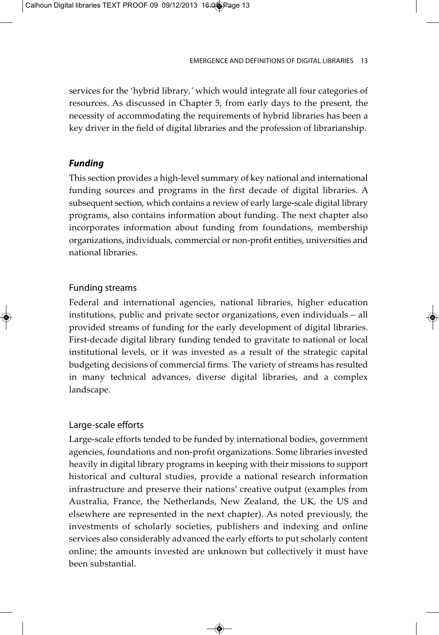services for the 'hybrid library*,'* which would integrate all four categories of resources. As discussed in Chapter 5, from early days to the present, the necessity of accommodating the requirements of hybrid libraries has been a key driver in the field of digital libraries and the profession of librarianship.

#### *Funding*

This section provides a high-level summary of key national and international funding sources and programs in the first decade of digital libraries. A subsequent section, which contains a review of early large-scale digital library programs, also contains information about funding. The next chapter also incorporates information about funding from foundations, membership organizations, individuals, commercial or non-profit entities, universities and national libraries.

# Funding streams

Federal and international agencies, national libraries, higher education institutions, public and private sector organizations, even individuals – all provided streams of funding for the early development of digital libraries. First-decade digital library funding tended to gravitate to national or local institutional levels, or it was invested as a result of the strategic capital budgeting decisions of commercial firms. The variety of streams has resulted in many technical advances, diverse digital libraries, and a complex landscape.

# large-scale efforts

Large-scale efforts tended to be funded by international bodies, government agencies, foundations and non-profit organizations. Some libraries invested heavily in digital library programs in keeping with their missions to support historical and cultural studies, provide a national research information infrastructure and preserve their nations' creative output (examples from Australia, France, the Netherlands, New Zealand, the UK, the US and elsewhere are represented in the next chapter). As noted previously, the investments of scholarly societies, publishers and indexing and online services also considerably advanced the early efforts to put scholarly content online; the amounts invested are unknown but collectively it must have been substantial.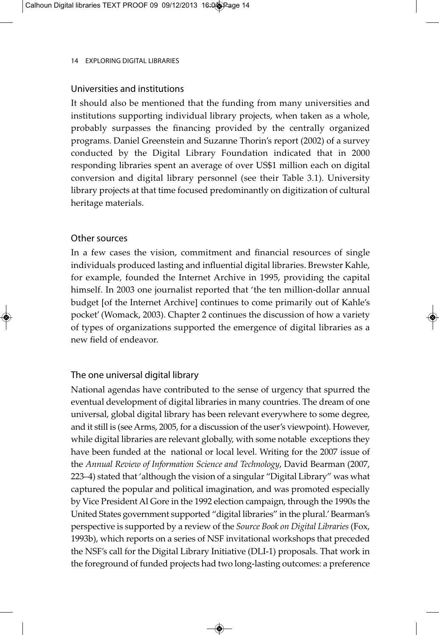#### 14 ExplORIng DIgITAl lIbRARIEs

#### Universities and institutions

It should also be mentioned that the funding from many universities and institutions supporting individual library projects, when taken as a whole, probably surpasses the financing provided by the centrally organized programs. Daniel Greenstein and Suzanne Thorin's report (2002) of a survey conducted by the Digital Library Foundation indicated that in 2000 responding libraries spent an average of over US\$1 million each on digital conversion and digital library personnel (see their Table 3.1). University library projects at that time focused predominantly on digitization of cultural heritage materials.

#### Other sources

In a few cases the vision, commitment and financial resources of single individuals produced lasting and influential digital libraries. Brewster Kahle, for example, founded the Internet Archive in 1995, providing the capital himself. In 2003 one journalist reported that 'the ten million-dollar annual budget [of the Internet Archive] continues to come primarily out of Kahle's pocket' (Womack, 2003). Chapter 2 continues the discussion of how a variety of types of organizations supported the emergence of digital libraries as a new field of endeavor.

#### The one universal digital library

National agendas have contributed to the sense of urgency that spurred the eventual development of digital libraries in many countries. The dream of one universal, global digital library has been relevant everywhere to some degree, and it still is (see Arms, 2005, for a discussion of the user's viewpoint). However, while digital libraries are relevant globally, with some notable exceptions they have been funded at the national or local level. Writing for the 2007 issue of the *Annual Review of Information Science and Technology*, David Bearman (2007, 223–4) stated that 'although the vision of a singular "Digital Library" was what captured the popular and political imagination, and was promoted especially by Vice President Al Gore in the 1992 election campaign, through the 1990s the United States government supported "digital libraries" in the plural.' Bearman's perspective is supported by a review of the *Source Book on Digital Libraries*(Fox, 1993b), which reports on a series of NSF invitational workshops that preceded the NSF's call for the Digital Library Initiative (DLI-1) proposals. That work in the foreground of funded projects had two long-lasting outcomes: a preference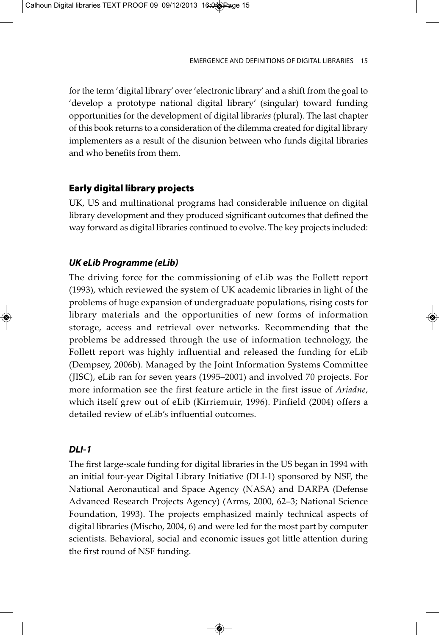for the term 'digital library' over 'electronic library' and a shift from the goal to 'develop a prototype national digital library' (singular) toward funding opportunities for the development of digital librar*ies* (plural). The last chapter of this book returns to a consideration of the dilemma created for digital library implementers as a result of the disunion between who funds digital libraries and who benefits from them.

# **Early digital library projects**

UK, US and multinational programs had considerable influence on digital library development and they produced significant outcomes that defined the way forward as digital libraries continued to evolve. The key projects included:

# *UK eLib Programme (eLib)*

The driving force for the commissioning of eLib was the Follett report (1993), which reviewed the system of UK academic libraries in light of the problems of huge expansion of undergraduate populations, rising costs for library materials and the opportunities of new forms of information storage, access and retrieval over networks. Recommending that the problems be addressed through the use of information technology, the Follett report was highly influential and released the funding for eLib (Dempsey, 2006b). Managed by the Joint Information Systems Committee (JISC), eLib ran for seven years (1995–2001) and involved 70 projects. For more information see the first feature article in the first issue of *Ariadne*, which itself grew out of eLib (Kirriemuir, 1996). Pinfield (2004) offers a detailed review of eLib's influential outcomes.

#### *DLI-1*

The first large-scale funding for digital libraries in the US began in 1994 with an initial four-year Digital Library Initiative (DLI-1) sponsored by NSF, the National Aeronautical and Space Agency (NASA) and DARPA (Defense Advanced Research Projects Agency) (Arms, 2000, 62–3; National Science Foundation, 1993). The projects emphasized mainly technical aspects of digital libraries (Mischo, 2004, 6) and were led for the most part by computer scientists. Behavioral, social and economic issues got little attention during the first round of NSF funding.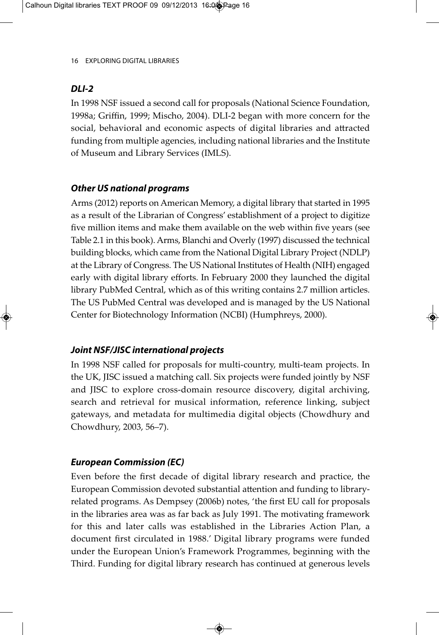# *DLI-2*

In 1998 NSF issued a second call for proposals (National Science Foundation, 1998a; Griffin, 1999; Mischo, 2004). DLI-2 began with more concern for the social, behavioral and economic aspects of digital libraries and attracted funding from multiple agencies, including national libraries and the Institute of Museum and Library Services (IMLS).

# *Other US national programs*

Arms (2012) reports on American Memory, a digital library that started in 1995 as a result of the Librarian of Congress' establishment of a project to digitize five million items and make them available on the web within five years (see Table 2.1 in this book). Arms, Blanchi and Overly (1997) discussed the technical building blocks, which came from the National Digital Library Project (NDLP) at the Library of Congress. The US National Institutes of Health (NIH) engaged early with digital library efforts. In February 2000 they launched the digital library PubMed Central, which as of this writing contains 2.7 million articles. The US PubMed Central was developed and is managed by the US National Center for Biotechnology Information (NCBI) (Humphreys, 2000).

# *Joint NSF/JISC international projects*

In 1998 NSF called for proposals for multi-country, multi-team projects. In the UK, JISC issued a matching call. Six projects were funded jointly by NSF and JISC to explore cross-domain resource discovery, digital archiving, search and retrieval for musical information, reference linking, subject gateways, and metadata for multimedia digital objects (Chowdhury and Chowdhury, 2003, 56–7).

# *European Commission (EC)*

Even before the first decade of digital library research and practice, the European Commission devoted substantial attention and funding to libraryrelated programs. As Dempsey (2006b) notes, 'the first EU call for proposals in the libraries area was as far back as July 1991. The motivating framework for this and later calls was established in the Libraries Action Plan, a document first circulated in 1988.' Digital library programs were funded under the European Union's Framework Programmes, beginning with the Third. Funding for digital library research has continued at generous levels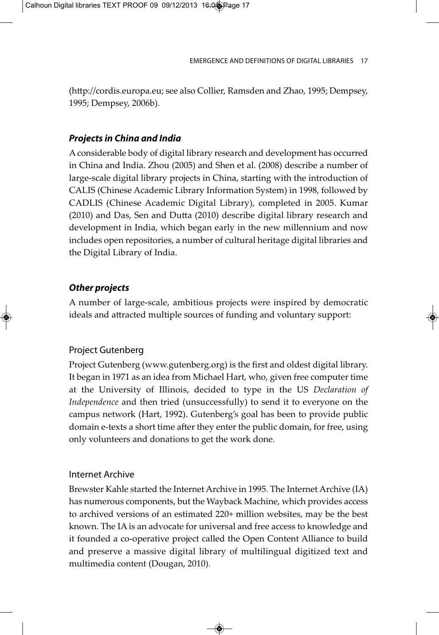(http://cordis.europa.eu; see also Collier, Ramsden and Zhao, 1995; Dempsey, 1995; Dempsey, 2006b).

# *Projects in China and India*

A considerable body of digital library research and development has occurred in China and India. Zhou (2005) and Shen et al. (2008) describe a number of large-scale digital library projects in China, starting with the introduction of CALIS (Chinese Academic Library Information System) in 1998, followed by CADLIS (Chinese Academic Digital Library), completed in 2005. Kumar (2010) and Das, Sen and Dutta (2010) describe digital library research and development in India, which began early in the new millennium and now includes open repositories, a number of cultural heritage digital libraries and the Digital Library of India.

# *Other projects*

A number of large-scale, ambitious projects were inspired by democratic ideals and attracted multiple sources of funding and voluntary support:

# Project Gutenberg

Project Gutenberg (www.gutenberg.org) is the first and oldest digital library. It began in 1971 as an idea from Michael Hart, who, given free computer time at the University of Illinois, decided to type in the US *Declaration of Independence* and then tried (unsuccessfully) to send it to everyone on the campus network (Hart, 1992). Gutenberg's goal has been to provide public domain e-texts a short time after they enter the public domain, for free, using only volunteers and donations to get the work done.

# Internet Archive

Brewster Kahle started the Internet Archive in 1995. The Internet Archive (IA) has numerous components, but the Wayback Machine, which provides access to archived versions of an estimated 220+ million websites, may be the best known. The IA is an advocate for universal and free access to knowledge and it founded a co-operative project called the Open Content Alliance to build and preserve a massive digital library of multilingual digitized text and multimedia content (Dougan, 2010).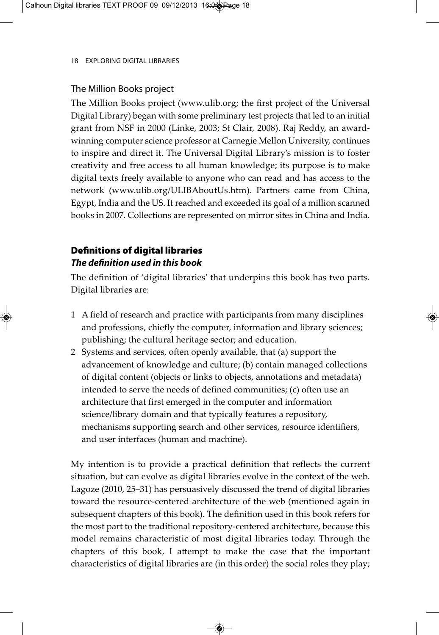# The Million books project

The Million Books project (www.ulib.org; the first project of the Universal Digital Library) began with some preliminary test projects that led to an initial grant from NSF in 2000 (Linke, 2003; St Clair, 2008). Raj Reddy, an awardwinning computer science professor at Carnegie Mellon University, continues to inspire and direct it. The Universal Digital Library's mission is to foster creativity and free access to all human knowledge; its purpose is to make digital texts freely available to anyone who can read and has access to the network (www.ulib.org/ULIBAboutUs.htm). Partners came from China, Egypt, India and the US. It reached and exceeded its goal of a million scanned books in 2007. Collections are represented on mirror sites in China and India.

# **Definitions of digital libraries** *The definition used in this book*

The definition of 'digital libraries' that underpins this book has two parts. Digital libraries are:

- 1 A field of research and practice with participants from many disciplines and professions, chiefly the computer, information and library sciences; publishing; the cultural heritage sector; and education.
- 2 Systems and services, often openly available, that (a) support the advancement of knowledge and culture; (b) contain managed collections of digital content (objects or links to objects, annotations and metadata) intended to serve the needs of defined communities; (c) often use an architecture that first emerged in the computer and information science/library domain and that typically features a repository, mechanisms supporting search and other services, resource identifiers, and user interfaces (human and machine).

My intention is to provide a practical definition that reflects the current situation, but can evolve as digital libraries evolve in the context of the web. Lagoze (2010, 25–31) has persuasively discussed the trend of digital libraries toward the resource-centered architecture of the web (mentioned again in subsequent chapters of this book). The definition used in this book refers for the most part to the traditional repository-centered architecture, because this model remains characteristic of most digital libraries today. Through the chapters of this book, I attempt to make the case that the important characteristics of digital libraries are (in this order) the social roles they play;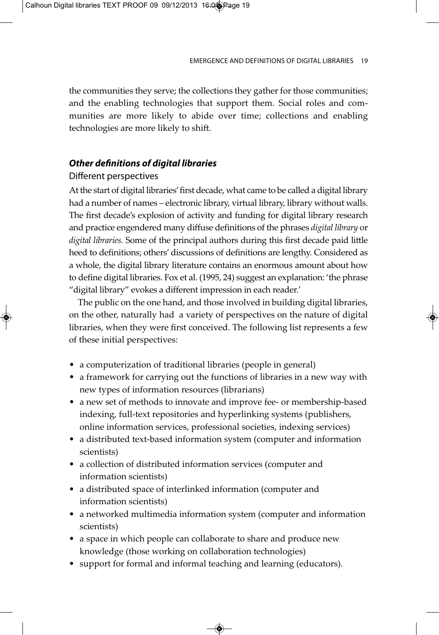the communities they serve; the collections they gather for those communities; and the enabling technologies that support them. Social roles and communities are more likely to abide over time; collections and enabling technologies are more likely to shift.

# *Other definitions of digital libraries*

# Different perspectives

At the start of digital libraries' first decade, what came to be called a digital library had a number of names – electronic library, virtual library, library without walls. The first decade's explosion of activity and funding for digital library research and practice engendered many diffuse definitions of the phrases *digital library* or *digital libraries.* Some of the principal authors during this first decade paid little heed to definitions; others' discussions of definitions are lengthy. Considered as a whole, the digital library literature contains an enormous amount about how to define digital libraries. Fox et al. (1995, 24) suggest an explanation: 'the phrase "digital library" evokes a different impression in each reader.'

The public on the one hand, and those involved in building digital libraries, on the other, naturally had a variety of perspectives on the nature of digital libraries, when they were first conceived. The following list represents a few of these initial perspectives:

- a computerization of traditional libraries (people in general)
- a framework for carrying out the functions of libraries in a new way with new types of information resources (librarians)
- a new set of methods to innovate and improve fee- or membership-based indexing, full-text repositories and hyperlinking systems (publishers, online information services, professional societies, indexing services)
- a distributed text-based information system (computer and information scientists)
- a collection of distributed information services (computer and information scientists)
- a distributed space of interlinked information (computer and information scientists)
- a networked multimedia information system (computer and information scientists)
- a space in which people can collaborate to share and produce new knowledge (those working on collaboration technologies)
- support for formal and informal teaching and learning (educators).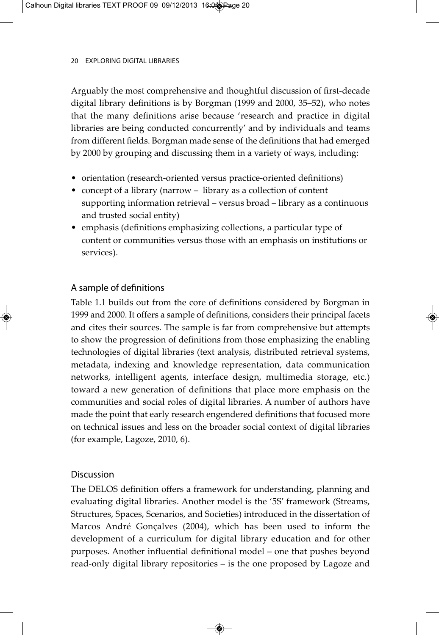Arguably the most comprehensive and thoughtful discussion of first-decade digital library definitions is by Borgman (1999 and 2000, 35–52), who notes that the many definitions arise because 'research and practice in digital libraries are being conducted concurrently' and by individuals and teams from different fields. Borgman made sense of the definitions that had emerged by 2000 by grouping and discussing them in a variety of ways, including:

- orientation (research-oriented versus practice-oriented definitions)
- concept of a library (narrow library as a collection of content supporting information retrieval – versus broad – library as a continuous and trusted social entity)
- emphasis (definitions emphasizing collections, a particular type of content or communities versus those with an emphasis on institutions or services).

#### A sample of definitions

Table 1.1 builds out from the core of definitions considered by Borgman in 1999 and 2000. It offers a sample of definitions, considers their principal facets and cites their sources. The sample is far from comprehensive but attempts to show the progression of definitions from those emphasizing the enabling technologies of digital libraries (text analysis, distributed retrieval systems, metadata, indexing and knowledge representation, data communication networks, intelligent agents, interface design, multimedia storage, etc.) toward a new generation of definitions that place more emphasis on the communities and social roles of digital libraries. A number of authors have made the point that early research engendered definitions that focused more on technical issues and less on the broader social context of digital libraries (for example, Lagoze, 2010, 6).

#### **Discussion**

The DELOS definition offers a framework for understanding, planning and evaluating digital libraries. Another model is the '5S' framework (Streams, Structures, Spaces, Scenarios, and Societies) introduced in the dissertation of Marcos André Gonçalves (2004), which has been used to inform the development of a curriculum for digital library education and for other purposes. Another influential definitional model – one that pushes beyond read-only digital library repositories – is the one proposed by Lagoze and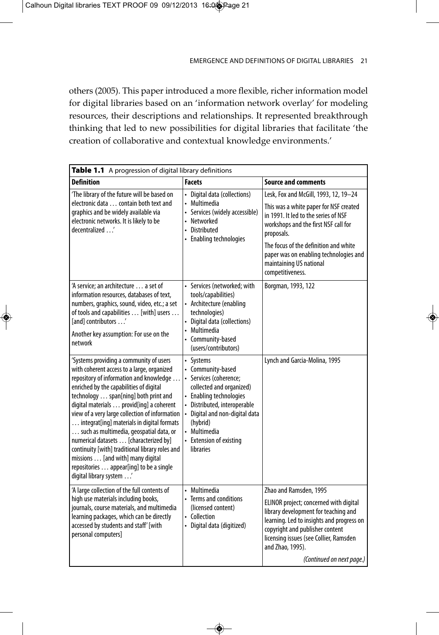others (2005). This paper introduced a more flexible, richer information model for digital libraries based on an 'information network overlay' for modeling resources, their descriptions and relationships. It represented breakthrough thinking that led to new possibilities for digital libraries that facilitate 'the creation of collaborative and contextual knowledge environments.'

| Table 1.1 A progression of digital library definitions                                                                                                                                                                                                                                                                                                                                                                                                                                                                                                                                                            |                                                                                                                                                                                                                                                       |                                                                                                                                                                                                                                                                                                                 |  |  |
|-------------------------------------------------------------------------------------------------------------------------------------------------------------------------------------------------------------------------------------------------------------------------------------------------------------------------------------------------------------------------------------------------------------------------------------------------------------------------------------------------------------------------------------------------------------------------------------------------------------------|-------------------------------------------------------------------------------------------------------------------------------------------------------------------------------------------------------------------------------------------------------|-----------------------------------------------------------------------------------------------------------------------------------------------------------------------------------------------------------------------------------------------------------------------------------------------------------------|--|--|
| <b>Definition</b>                                                                                                                                                                                                                                                                                                                                                                                                                                                                                                                                                                                                 | <b>Facets</b>                                                                                                                                                                                                                                         | <b>Source and comments</b>                                                                                                                                                                                                                                                                                      |  |  |
| 'The library of the future will be based on<br>electronic data contain both text and<br>graphics and be widely available via<br>electronic networks. It is likely to be<br>decentralized '                                                                                                                                                                                                                                                                                                                                                                                                                        | • Digital data (collections)<br>• Multimedia<br>• Services (widely accessible)<br>• Networked<br>• Distributed<br>Enabling technologies                                                                                                               | Lesk, Fox and McGill, 1993, 12, 19-24<br>This was a white paper for NSF created<br>in 1991. It led to the series of NSF<br>workshops and the first NSF call for<br>proposals.<br>The focus of the definition and white<br>paper was on enabling technologies and<br>maintaining US national<br>competitiveness. |  |  |
| 'A service; an architecture  a set of<br>information resources, databases of text,<br>numbers, graphics, sound, video, etc.; a set<br>of tools and capabilities [with] users<br>[and] contributors '<br>Another key assumption: For use on the<br>network                                                                                                                                                                                                                                                                                                                                                         | • Services (networked; with<br>tools/capabilities)<br>• Architecture (enabling<br>technologies)<br>• Digital data (collections)<br>• Multimedia<br>• Community-based<br>(users/contributors)                                                          | Borgman, 1993, 122                                                                                                                                                                                                                                                                                              |  |  |
| 'Systems providing a community of users<br>with coherent access to a large, organized<br>repository of information and knowledge<br>enriched by the capabilities of digital<br>technology  span[ning] both print and<br>digital materials provid[ing] a coherent<br>view of a very large collection of information<br>integrat[ing] materials in digital formats<br>such as multimedia, geospatial data, or<br>numerical datasets [characterized by]<br>continuity [with] traditional library roles and<br>missions [and with] many digital<br>repositories appear[ing] to be a single<br>digital library system' | • Systems<br>• Community-based<br>· Services (coherence;<br>collected and organized)<br>• Enabling technologies<br>• Distributed, interoperable<br>• Digital and non-digital data<br>(hybrid)<br>• Multimedia<br>• Extension of existing<br>libraries | Lynch and Garcia-Molina, 1995                                                                                                                                                                                                                                                                                   |  |  |
| 'A large collection of the full contents of<br>high use materials including books,<br>journals, course materials, and multimedia<br>learning packages, which can be directly<br>accessed by students and staff' [with<br>personal computers]                                                                                                                                                                                                                                                                                                                                                                      | • Multimedia<br>• Terms and conditions<br>(licensed content)<br>• Collection<br>• Digital data (digitized)                                                                                                                                            | Zhao and Ramsden, 1995<br>ELINOR project; concerned with digital<br>library development for teaching and<br>learning. Led to insights and progress on<br>copyright and publisher content<br>licensing issues (see Collier, Ramsden<br>and Zhao, 1995).<br>(Continued on next page.)                             |  |  |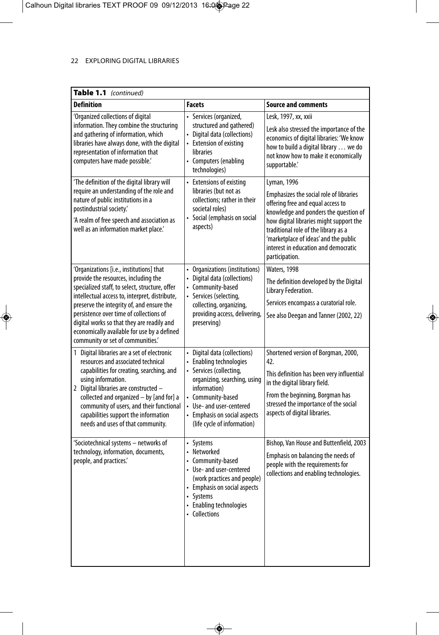| Table 1.1 (continued)                                                                                                                                                                                                                                                                                                                                                                                          |                                                                                                                                                                                                                                                                                                   |                                                                                                                                                                                                                                                                                                                            |  |  |
|----------------------------------------------------------------------------------------------------------------------------------------------------------------------------------------------------------------------------------------------------------------------------------------------------------------------------------------------------------------------------------------------------------------|---------------------------------------------------------------------------------------------------------------------------------------------------------------------------------------------------------------------------------------------------------------------------------------------------|----------------------------------------------------------------------------------------------------------------------------------------------------------------------------------------------------------------------------------------------------------------------------------------------------------------------------|--|--|
| <b>Definition</b>                                                                                                                                                                                                                                                                                                                                                                                              | <b>Facets</b>                                                                                                                                                                                                                                                                                     | <b>Source and comments</b>                                                                                                                                                                                                                                                                                                 |  |  |
| 'Organized collections of digital<br>information. They combine the structuring<br>and gathering of information, which<br>libraries have always done, with the digital<br>representation of information that<br>computers have made possible.'                                                                                                                                                                  | • Services (organized,<br>structured and gathered)<br>• Digital data (collections)<br>• Extension of existing<br>libraries<br>• Computers (enabling<br>technologies)                                                                                                                              | Lesk, 1997, xx, xxii<br>Lesk also stressed the importance of the<br>economics of digital libraries: 'We know<br>how to build a digital library  we do<br>not know how to make it economically<br>supportable.                                                                                                              |  |  |
| 'The definition of the digital library will<br>require an understanding of the role and<br>nature of public institutions in a<br>postindustrial society.'<br>'A realm of free speech and association as<br>well as an information market place.'                                                                                                                                                               | • Extensions of existing<br>libraries (but not as<br>collections: rather in their<br>societal roles)<br>• Social (emphasis on social<br>aspects)                                                                                                                                                  | Lyman, 1996<br>Emphasizes the social role of libraries<br>offering free and equal access to<br>knowledge and ponders the question of<br>how digital libraries might support the<br>traditional role of the library as a<br>'marketplace of ideas' and the public<br>interest in education and democratic<br>participation. |  |  |
| 'Organizations [i.e., institutions] that<br>provide the resources, including the<br>specialized staff, to select, structure, offer<br>intellectual access to, interpret, distribute,<br>preserve the integrity of, and ensure the<br>persistence over time of collections of<br>digital works so that they are readily and<br>economically available for use by a defined<br>community or set of communities.' | Organizations (institutions)<br>$\bullet$<br>Digital data (collections)<br>Community-based<br>$\bullet$<br>• Services (selecting,<br>collecting, organizing,<br>providing access, delivering,<br>preserving)                                                                                      | <b>Waters, 1998</b><br>The definition developed by the Digital<br>Library Federation.<br>Services encompass a curatorial role.<br>See also Deegan and Tanner (2002, 22)                                                                                                                                                    |  |  |
| 1 Digital libraries are a set of electronic<br>resources and associated technical<br>capabilities for creating, searching, and<br>using information.<br>2 Digital libraries are constructed -<br>collected and organized - by [and for] a<br>community of users, and their functional<br>capabilities support the information<br>needs and uses of that community.                                             | Digital data (collections)<br>$\ddot{\phantom{0}}$<br><b>Enabling technologies</b><br>• Services (collecting,<br>organizing, searching, using<br>information)<br>• Community-based<br>Use- and user-centered<br>$\ddot{\phantom{0}}$<br>Emphasis on social aspects<br>(life cycle of information) | Shortened version of Borgman, 2000,<br>42.<br>This definition has been very influential<br>in the digital library field.<br>From the beginning, Borgman has<br>stressed the importance of the social<br>aspects of digital libraries.                                                                                      |  |  |
| 'Sociotechnical systems - networks of<br>technology, information, documents,<br>people, and practices.'                                                                                                                                                                                                                                                                                                        | Systems<br>Networked<br>• Community-based<br>Use- and user-centered<br>(work practices and people)<br>Emphasis on social aspects<br>• Systems<br>• Enabling technologies<br>• Collections                                                                                                         | Bishop, Van House and Buttenfield, 2003<br>Emphasis on balancing the needs of<br>people with the requirements for<br>collections and enabling technologies.                                                                                                                                                                |  |  |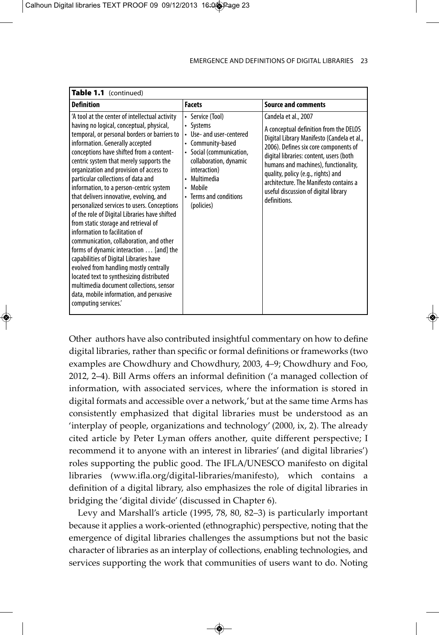| Table 1.1 (continued)                                                                                                                                                                                                                                                                                                                                                                                                                                                                                                                                                                                                                                                                                                                                                                                                                                                                                                                                    |                                                                                                                                                                                                                  |                                                                                                                                                                                                                                                                                                                                                                                  |  |  |
|----------------------------------------------------------------------------------------------------------------------------------------------------------------------------------------------------------------------------------------------------------------------------------------------------------------------------------------------------------------------------------------------------------------------------------------------------------------------------------------------------------------------------------------------------------------------------------------------------------------------------------------------------------------------------------------------------------------------------------------------------------------------------------------------------------------------------------------------------------------------------------------------------------------------------------------------------------|------------------------------------------------------------------------------------------------------------------------------------------------------------------------------------------------------------------|----------------------------------------------------------------------------------------------------------------------------------------------------------------------------------------------------------------------------------------------------------------------------------------------------------------------------------------------------------------------------------|--|--|
| <b>Definition</b>                                                                                                                                                                                                                                                                                                                                                                                                                                                                                                                                                                                                                                                                                                                                                                                                                                                                                                                                        | <b>Facets</b>                                                                                                                                                                                                    | <b>Source and comments</b>                                                                                                                                                                                                                                                                                                                                                       |  |  |
| 'A tool at the center of intellectual activity<br>having no logical, conceptual, physical,<br>temporal, or personal borders or barriers to<br>information. Generally accepted<br>conceptions have shifted from a content-<br>centric system that merely supports the<br>organization and provision of access to<br>particular collections of data and<br>information, to a person-centric system<br>that delivers innovative, evolving, and<br>personalized services to users. Conceptions<br>of the role of Digital Libraries have shifted<br>from static storage and retrieval of<br>information to facilitation of<br>communication, collaboration, and other<br>forms of dynamic interaction [and] the<br>capabilities of Digital Libraries have<br>evolved from handling mostly centrally<br>located text to synthesizing distributed<br>multimedia document collections, sensor<br>data, mobile information, and pervasive<br>computing services.' | • Service (Tool)<br>• Systems<br>• Use- and user-centered<br>Community-based<br>• Social (communication,<br>collaboration, dynamic<br>interaction)<br>Multimedia<br>Mobile<br>Terms and conditions<br>(policies) | Candela et al., 2007<br>A conceptual definition from the DELOS<br>Digital Library Manifesto (Candela et al.,<br>2006). Defines six core components of<br>digital libraries: content, users (both<br>humans and machines), functionality,<br>quality, policy (e.g., rights) and<br>architecture. The Manifesto contains a<br>useful discussion of digital library<br>definitions. |  |  |

Other authors have also contributed insightful commentary on how to define digital libraries, rather than specific or formal definitions or frameworks (two examples are Chowdhury and Chowdhury, 2003, 4–9; Chowdhury and Foo, 2012, 2–4). Bill Arms offers an informal definition ('a managed collection of information, with associated services, where the information is stored in digital formats and accessible over a network,' but at the same time Arms has consistently emphasized that digital libraries must be understood as an 'interplay of people, organizations and technology' (2000, ix, 2). The already cited article by Peter Lyman offers another, quite different perspective; I recommend it to anyone with an interest in libraries' (and digital libraries') roles supporting the public good. The IFLA/UNESCO manifesto on digital libraries (www.ifla.org/digital-libraries/manifesto), which contains a definition of a digital library, also emphasizes the role of digital libraries in bridging the 'digital divide' (discussed in Chapter 6).

Levy and Marshall's article (1995, 78, 80, 82–3) is particularly important because it applies a work-oriented (ethnographic) perspective, noting that the emergence of digital libraries challenges the assumptions but not the basic character of libraries as an interplay of collections, enabling technologies, and services supporting the work that communities of users want to do. Noting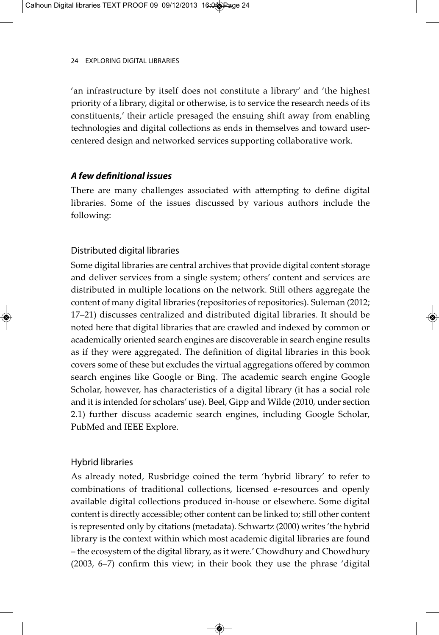'an infrastructure by itself does not constitute a library' and 'the highest priority of a library, digital or otherwise, is to service the research needs of its constituents,' their article presaged the ensuing shift away from enabling technologies and digital collections as ends in themselves and toward usercentered design and networked services supporting collaborative work.

#### *A few definitional issues*

There are many challenges associated with attempting to define digital libraries. Some of the issues discussed by various authors include the following:

# Distributed digital libraries

Some digital libraries are central archives that provide digital content storage and deliver services from a single system; others' content and services are distributed in multiple locations on the network. Still others aggregate the content of many digital libraries (repositories of repositories). Suleman (2012; 17–21) discusses centralized and distributed digital libraries. It should be noted here that digital libraries that are crawled and indexed by common or academically oriented search engines are discoverable in search engine results as if they were aggregated. The definition of digital libraries in this book covers some of these but excludes the virtual aggregations offered by common search engines like Google or Bing. The academic search engine Google Scholar, however, has characteristics of a digital library (it has a social role and it is intended for scholars' use). Beel, Gipp and Wilde (2010, under section 2.1) further discuss academic search engines, including Google Scholar, PubMed and IEEE Explore.

# Hybrid libraries

As already noted, Rusbridge coined the term 'hybrid library' to refer to combinations of traditional collections, licensed e-resources and openly available digital collections produced in-house or elsewhere. Some digital content is directly accessible; other content can be linked to; still other content is represented only by citations (metadata)*.* Schwartz (2000) writes 'the hybrid library is the context within which most academic digital libraries are found – the ecosystem of the digital library, as it were.' Chowdhury and Chowdhury (2003, 6–7) confirm this view; in their book they use the phrase 'digital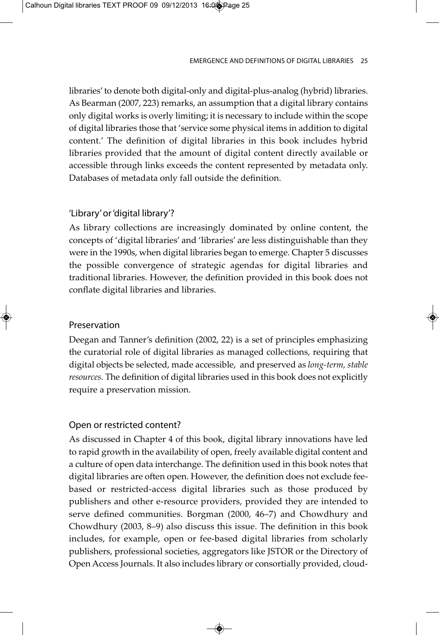libraries' to denote both digital-only and digital-plus-analog (hybrid) libraries. As Bearman (2007, 223) remarks, an assumption that a digital library contains only digital works is overly limiting; it is necessary to include within the scope of digital libraries those that 'service some physical items in addition to digital content.' The definition of digital libraries in this book includes hybrid libraries provided that the amount of digital content directly available or accessible through links exceeds the content represented by metadata only. Databases of metadata only fall outside the definition.

#### 'Library' or 'digital library'?

As library collections are increasingly dominated by online content, the concepts of 'digital libraries' and 'libraries' are less distinguishable than they were in the 1990s, when digital libraries began to emerge. Chapter 5 discusses the possible convergence of strategic agendas for digital libraries and traditional libraries. However, the definition provided in this book does not conflate digital libraries and libraries.

#### preservation

Deegan and Tanner's definition (2002, 22) is a set of principles emphasizing the curatorial role of digital libraries as managed collections, requiring that digital objects be selected, made accessible, and preserved as *long-term, stable resources*. The definition of digital libraries used in this book does not explicitly require a preservation mission.

# Open or restricted content?

As discussed in Chapter 4 of this book, digital library innovations have led to rapid growth in the availability of open, freely available digital content and a culture of open data interchange. The definition used in this book notes that digital libraries are often open. However, the definition does not exclude feebased or restricted-access digital libraries such as those produced by publishers and other e-resource providers, provided they are intended to serve defined communities. Borgman (2000, 46–7) and Chowdhury and Chowdhury (2003, 8–9) also discuss this issue. The definition in this book includes, for example, open or fee-based digital libraries from scholarly publishers, professional societies, aggregators like JSTOR or the Directory of Open Access Journals. It also includes library or consortially provided, cloud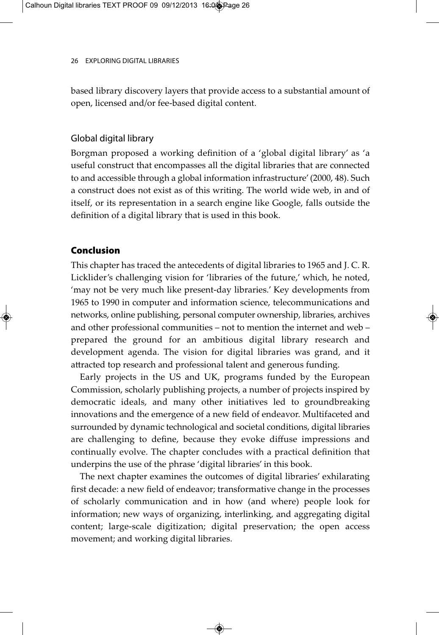based library discovery layers that provide access to a substantial amount of open, licensed and/or fee-based digital content.

#### global digital library

Borgman proposed a working definition of a 'global digital library' as 'a useful construct that encompasses all the digital libraries that are connected to and accessible through a global information infrastructure' (2000, 48). Such a construct does not exist as of this writing. The world wide web, in and of itself, or its representation in a search engine like Google, falls outside the definition of a digital library that is used in this book.

#### **Conclusion**

This chapter has traced the antecedents of digital libraries to 1965 and J. C. R. Licklider's challenging vision for 'libraries of the future,' which, he noted, 'may not be very much like present-day libraries.' Key developments from 1965 to 1990 in computer and information science, telecommunications and networks, online publishing, personal computer ownership, libraries, archives and other professional communities – not to mention the internet and web – prepared the ground for an ambitious digital library research and development agenda. The vision for digital libraries was grand, and it attracted top research and professional talent and generous funding.

Early projects in the US and UK, programs funded by the European Commission, scholarly publishing projects, a number of projects inspired by democratic ideals, and many other initiatives led to groundbreaking innovations and the emergence of a new field of endeavor. Multifaceted and surrounded by dynamic technological and societal conditions, digital libraries are challenging to define, because they evoke diffuse impressions and continually evolve. The chapter concludes with a practical definition that underpins the use of the phrase 'digital libraries' in this book.

The next chapter examines the outcomes of digital libraries' exhilarating first decade: a new field of endeavor; transformative change in the processes of scholarly communication and in how (and where) people look for information; new ways of organizing, interlinking, and aggregating digital content; large-scale digitization; digital preservation; the open access movement; and working digital libraries.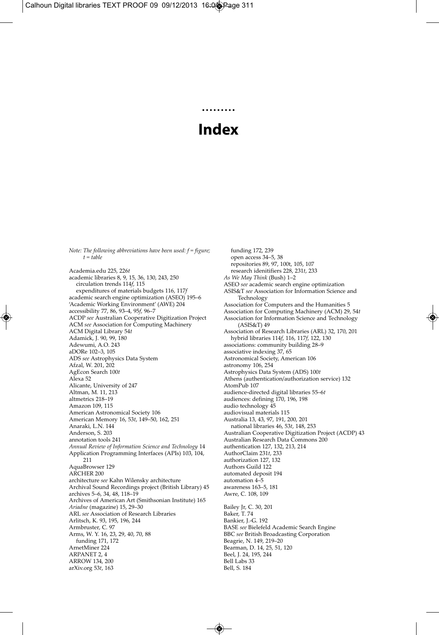# **Index**

. . . . . . . . .

*Note: The following abbreviations have been used: f = figure; t = table* Academia.edu 225, 226*t* academic libraries 8, 9, 15, 36, 130, 243, 250 circulation trends 114*f*, 115 expenditures of materials budgets 116, 117*f* academic search engine optimization (ASEO) 195–6 'Academic Working Environment' (AWE) 204 accessibility 77, 86, 93–4, 95*f*, 96–7 ACDP *see* Australian Cooperative Digitization Project ACM *see* Association for Computing Machinery ACM Digital Library 54*t* Adamick, J. 90, 99, 180 Adewumi, A.O. 243 aDORe 102–3, 105 ADS *see* Astrophysics Data System Afzal, W. 201, 202 AgEcon Search 100*t* Alexa 52 Alicante, University of 247 Altman, M. 11, 213 altmetrics 218–19 Amazon 109, 115 American Astronomical Society 106 American Memory 16, 53*t*, 149–50, 162, 251 Anaraki, L.N. 144 Anderson, S. 203 annotation tools 241 *Annual Review of Information Science and Technology* 14 Application Programming Interfaces (APIs) 103, 104, 211 AquaBrowser 129 ARCHER 200 architecture *see* Kahn Wilensky architecture Archival Sound Recordings project (British Library) 45 archives 5–6, 34, 48, 118–19 Archives of American Art (Smithsonian Institute) 165 *Ariadne* (magazine) 15, 29–30 ARL *see* Association of Research Libraries Arlitsch, K. 93, 195, 196, 244 Armbruster, C. 97 Arms, W. Y. 16, 23, 29, 40, 70, 88 funding 171, 172 ArnetMiner 224 ARPANET 2, 4 ARROW 134, 200 arXiv.org 53*t*, 163

funding 172, 239 open access 34–5, 38 repositories 89, 97, 100t, 105, 107 research idenitifiers 228, 231*t*, 233 *As We May Think* (Bush) 1–2 ASEO *see* academic search engine optimization ASIS&T *see* Association for Information Science and Technology Association for Computers and the Humanities 5 Association for Computing Machinery (ACM) 29, 54*t* Association for Information Science and Technology (ASIS&T) 49 Association of Research Libraries (ARL) 32, 170, 201 hybrid libraries 114*f*, 116, 117*f*, 122, 130 associations: community building 28–9 associative indexing 37, 65 Astronomical Society, American 106 astronomy 106, 254 Astrophysics Data System (ADS) 100*t* Athens (authentication/authorization service) 132 AtomPub 107 audience-directed digital libraries 55–6*t* audiences: defining 170, 196, 198 audio technology 45 audiovisual materials 115 Australia 13, 43, 97, 191, 200, 201 national libraries 46, 53*t*, 148, 253 Australian Cooperative Digitization Project (ACDP) 43 Australian Research Data Commons 200 authentication 127, 132, 213, 214 AuthorClaim 231*t*, 233 authorization 127, 132 Authors Guild 122 automated deposit 194 automation 4–5 awareness 163–5, 181 Awre, C. 108, 109 Bailey Jr, C. 30, 201 Baker, T. 74 Bankier, J.-G. 192 BASE *see* Bielefeld Academic Search Engine BBC *see* British Broadcasting Corporation Beagrie, N. 149, 219–20 Bearman, D. 14, 25, 51, 120 Beel, J. 24, 195, 244 Bell Labs 33 Bell, S. 184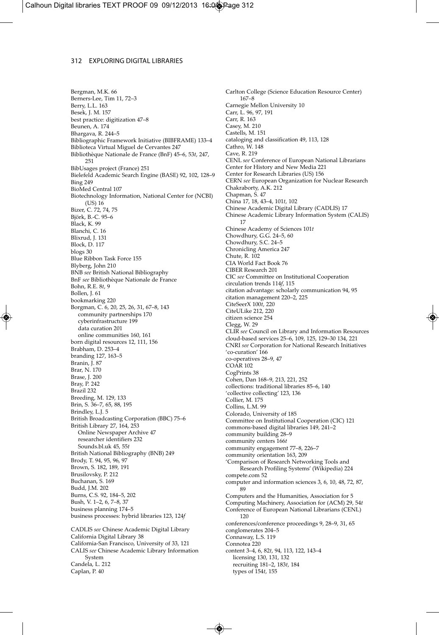Bergman, M.K. 66 Berners-Lee, Tim 11, 72–3 Berry, L.L. 163 Besek, J. M. 157 best practice: digitization 47–8 Beunen, A. 174 Bhargava, R. 244–5 Bibliographic Framework Initiative (BIBFRAME) 133–4 Biblioteca Virtual Miguel de Cervantes 247 Bibliothèque Nationale de France (BnF) 45–6, 53*t*, 247, 251 BibUsages project (France) 251 Bielefeld Academic Search Engine (BASE) 92, 102, 128–9 Bing 249 BioMed Central 107 Biotechnology Information, National Center for (NCBI) (US) 16 Bizer, C. 72, 74, 75 Björk, B.-C. 95–6 Black, K. 99 Blanchi, C. 16 Blixrud, J. 131 Block, D. 117 blogs 30 Blue Ribbon Task Force 155 Blyberg, John 210 BNB *see* British National Bibliography BnF *see* Bibliothèque Nationale de France Bohn, R.E. 8*t*, 9 Bollen, J. 61 bookmarking 220 Borgman, C. 6, 20, 25, 26, 31, 67–8, 143 community partnerships 170 cyberinfrastructure 199 data curation 201 online communities 160, 161 born digital resources 12, 111, 156 Brabham, D. 253–4 branding 127, 163–5 Branin, J. 87 Brar, N. 170 Brase, J. 200 Bray, P. 242 Brazil 232 Breeding, M. 129, 133 Brin, S. 36–7, 65, 88, 195 Brindley, L.J. 5 British Broadcasting Corporation (BBC) 75–6 British Library 27, 164, 253 Online Newspaper Archive 47 researcher identifiers 232 Sounds.bl.uk 45, 55*t* British National Bibliography (BNB) 249 Brody, T. 94, 95, 96, 97 Brown, S. 182, 189, 191 Brusilovsky, P. 212 Buchanan, S. 169 Budd, J.M. 202 Burns, C.S. 92, 184–5, 202 Bush, V. 1–2, 6, 7–8, 37 business planning 174–5 business processes: hybrid libraries 123, 124*f* CADLIS *see* Chinese Academic Digital Library

California Digital Library 38 California-San Francisco, University of 33, 121 CALIS *see* Chinese Academic Library Information System Candela, L. 212 Caplan, P. 40

Carlton College (Science Education Resource Center) 167–8 Carnegie Mellon University 10 Carr, L. 96, 97, 191 Carr, R. 163 Casey, M. 210 Castells, M. 151 cataloging and classification 49, 113, 128 Cathro, W. 148 Cave, R. 219 CENL *see* Conference of European National Librarians Center for History and New Media 221 Center for Research Libraries (US) 156 CERN *see* European Organization for Nuclear Research Chakraborty, A.K. 212 Chapman, S. 47 China 17, 18, 43–4, 101*t*, 102 Chinese Academic Digital Library (CADLIS) 17 Chinese Academic Library Information System (CALIS) 17 Chinese Academy of Sciences 101*t* Chowdhury, G.G. 24–5, 60 Chowdhury, S.C. 24–5 Chronicling America 247 Chute, R. 102 CIA World Fact Book 76 CIBER Research 201 CIC *see* Committee on Institutional Cooperation circulation trends 114*f*, 115 citation advantage: scholarly communication 94, 95 citation management 220–2, 225 CiteSeerX 100*t*, 220 CiteULike 212, 220 citizen science 254 Clegg, W. 29 CLIR *see* Council on Library and Information Resources cloud-based services 25–6, 109, 125, 129–30 134, 221 CNRI *see* Corporation for National Research Initiatives 'co-curation' 166 co-operatives 28–9, 47 COAR 102 CogPrints 38 Cohen, Dan 168–9, 213, 221, 252 collections: traditional libraries 85–6, 140 'collective collecting' 123, 136 Collier, M. 175 Collins, L.M. 99 Colorado, University of 185 Committee on Institutional Cooperation (CIC) 121 commons-based digital libraries 149, 241–2 community building 28–9 community centers 166*t* community engagement 77–8, 226–7 community orientation 163, 209 'Comparison of Research Networking Tools and Research Profiling Systems' (Wikipedia) 224 compete.com 52 computer and information sciences 3, 6, 10, 48, 72, 87, 89 Computers and the Humanities, Association for 5 Computing Machinery, Association for (ACM) 29, 54*t* Conference of European National Librarians (CENL) 120 conferences/conference proceedings 9, 28–9, 31, 65 conglomerates 204–5 Connaway, L.S. 119 Connotea 220 content 3–4, 6, 82*t*, 94, 113, 122, 143–4 licensing 130, 131, 132 recruiting 181–2, 183*t*, 184 types of 154*t*, 155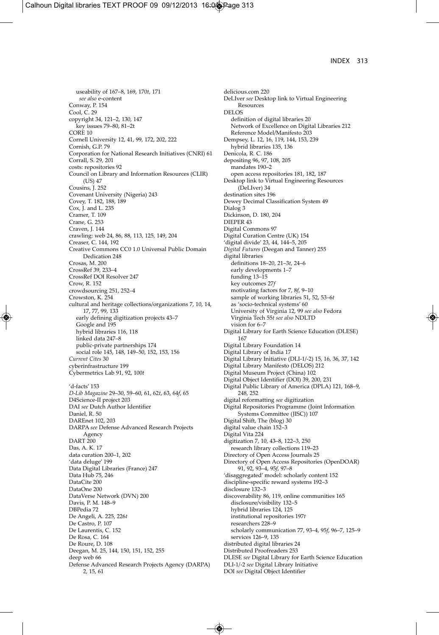useability of 167–8, 169, 170*t*, 171 *see also* e-content Conway, P. 154 Cool, C. 29 copyright 34, 121–2, 130, 147 key issues 79–80, 81–2t CORE 10 Cornell University 12, 41, 99, 172, 202, 222 Cornish, G.P. 79 Corporation for National Research Initiatives (CNRI) 61 Corrall, S. 29, 201 costs: repositories 92 Council on Library and Information Resources (CLIR) (US) 47 Cousins, J. 252 Covenant University (Nigeria) 243 Covey, T. 182, 188, 189 Cox, J. and L. 235 Cramer, T. 109 Crane, G. 253 Craven, J. 144 crawling: web 24, 86, 88, 113, 125, 149, 204 Creaser, C. 144, 192 Creative Commons CC0 1.0 Universal Public Domain Dedication 248 Crosas, M. 200 CrossRef 39, 233–4 CrossRef DOI Resolver 247 Crow, R. 152 crowdsourcing 251, 252–4 Crowston, K. 254 cultural and heritage collections/organizations 7, 10, 14, 17, 77, 99, 133 early defining digitization projects 43–7 Google and 195 hybrid libraries 116, 118 linked data 247–8 public-private partnerships 174 social role 145, 148, 149–50, 152, 153, 156 *Current Cites* 30 cyberinfrastructure 199 Cybermetrics Lab 91, 92, 100*t* 'd-facts' 153 *D-Lib Magazine* 29–30, 59–60, 61, 62*t*, 63, 64*f*, 65 D4Science-II project 203 DAI *see* Dutch Author Identifier Daniel, R. 50 DAREnet 102, 203 DARPA *see* Defense Advanced Research Projects Agency DART 200 Das, A. K. 17 data curation 200–1, 202 'data deluge' 199 Data Digital Libraries (France) 247 Data Hub 75, 246 DataCite 200 DataOne 200 DataVerse Network (DVN) 200 Davis, P. M. 148–9 DBPedia 72 De Angeli, A. 225, 226*t* De Castro, P. 107 De Laurentis, C. 152 De Rosa, C. 164 De Roure, D. 108 Deegan, M. 25, 144, 150, 151, 152, 255 deep web 66 Defense Advanced Research Projects Agency (DARPA) 2, 15, 61

delicious.com 220 DeLIver *see* Desktop link to Virtual Engineering Resources DELOS definition of digital libraries 20 Network of Excellence on Digital Libraries 212 Reference Model/Manifesto 203 Dempsey, L. 12, 16, 119, 144, 153, 239 hybrid libraries 135, 136 Denicola, R. C. 186 depositing 96, 97, 108, 205 mandates 190–2 open access repositories 181, 182, 187 Desktop link to Virtual Engineering Resources (DeLIver) 34 destination sites 196 Dewey Decimal Classification System 49 Dialog 3 Dickinson, D. 180, 204 DIEPER 43 Digital Commons 97 Digital Curation Centre (UK) 154 'digital divide' 23, 44, 144–5, 205 *Digital Futures* (Deegan and Tanner) 255 digital libraries definitions 18–20, 21–3*t*, 24–6 early developments 1–7 funding 13–15 key outcomes 27*f* motivating factors for 7, 8*f*, 9–10 sample of working libraries 51, 52, 53–6*t* as 'socio-technical systems' 60 University of Virginia 12, 99 *see also* Fedora Virginia Tech 55*t see also* NDLTD vision for 6–7 Digital Library for Earth Science Education (DLESE) 167 Digital Library Foundation 14 Digital Library of India 17 Digital Library Initiative (DLI-1/-2) 15, 16, 36, 37, 142 Digital Library Manifesto (DELOS) 212 Digital Museum Project (China) 102 Digital Object Identifier (DOI) 39, 200, 231 Digital Public Library of America (DPLA) 121, 168–9, 248, 252 digital reformatting *see* digitization Digital Repositories Programme (Joint Information Systems Committee (JISC)) 107 Digital Shift, The (blog) 30 digital value chain 152–3 Digital Vita 224 digitization 7, 10, 43–8, 122–3, 250 research library collections 119–23 Directory of Open Access Journals 25 Directory of Open Access Repositories (OpenDOAR) 91, 92, 93–4, 95*f*, 97–8 'disaggregated' model: scholarly content 152 discipline-specific reward systems 192–3 disclosure 132–3 discoverability 86, 119, online communities 165 disclosure/visibility 132–5 hybrid libraries 124, 125 institutional repositories 197*t* researchers 228–9 scholarly communication 77, 93–4, 95*f*, 96–7, 125–9 services 126–9, 135 distributed digital libraries 24 Distributed Proofreaders 253 DLESE *see* Digital Library for Earth Science Education DLI-1/-2 *see* Digital Library Initiative DOI *see* Digital Object Identifier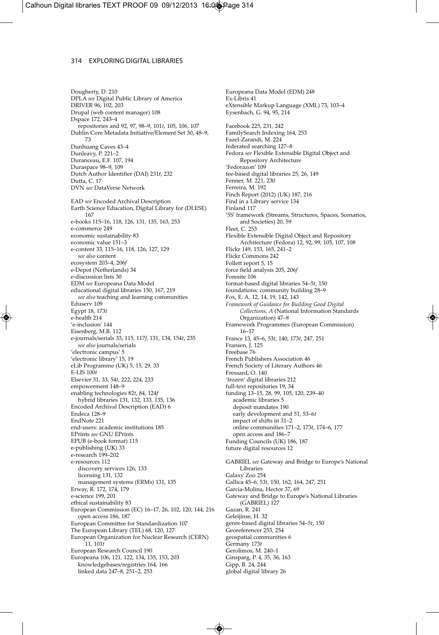Dougherty, D. 210 DPLA *see* Digital Public Library of America DRIVER 96, 102, 203 Drupal (web content manager) 108 Dspace 172, 243–4 repositories and 92, 97, 98–9, 101*t*, 105, 106, 107 Dublin Core Metadata Initiative/Element Set 30, 48–9, 73 Dunhuang Caves 43–4 Dunleavy, P. 221–2 Duranceau, E.F. 107, 194 Duraspace 98–9, 109 Dutch Author Identifier (DAI) 231*t*, 232 Dutta, C. 17 DVN *see* DataVerse Network EAD *see* Encoded Archival Description Earth Science Education, Digital Library for (DLESE) 167 e-books 115–16, 118, 126, 131, 135, 163, 253 e-commerce 249 economic sustainability 83 economic value 151–3 e-content 33, 115–16, 118, 126, 127, 129 *see also* content ecosystem 203–4, 206*f* e-Depot (Netherlands) 34 e-discussion lists 30 EDM *see* Europeana Data Model educational digital libraries 150, 167, 219 *see also* teaching and learning communities Eduserv 109 Egypt 18, 173*t* e-health 214 'e-inclusion' 144 Eisenberg, M.B. 112 e-journals/serials 33, 115, 117*f*, 131, 134, 154*t*, 235 *see also* journals/serials 'electronic campus' 5 'electronic library' 15, 19 eLib Programme (UK) 5, 15, 29, 33 E-LIS 100*t* Elsevier 31, 33, 54*t*, 222, 224, 233 empowerment 148–9 enabling technologies 82*t*, 84, 124*f* hybrid libraries 131, 132, 133, 135, 136 Encoded Archival Description (EAD) 6 Endeca 128–9 EndNote 221 end-users: academic institutions 185 EPrints *see* GNU EPrints EPUB (e-book format) 115 e-publishing (UK) 33 e-research 199–202 e-resources 112 discovery services 126, 133 licensing 131, 132 management systems (ERMs) 131, 135 Erway, R. 172, 174, 179 e-science 199, 201 ethical sustainability 83 European Commission (EC) 16–17, 26, 102, 120, 144, 216 open access 186, 187 European Committee for Standardization 107 The European Library (TEL) 68, 120, 127 European Organization for Nuclear Research (CERN) 11, 101*t* European Research Council 190 Europeana 106, 121, 122, 134, 135, 153, 203 knowledgebases/registries 164, 166 linked data 247–8, 251–2, 253

Europeana Data Model (EDM) 248 Ex-Libris 41 eXtensible Markup Language (XML) 73, 103–4 Eysenbach, G. 94, 95, 214 Facebook 225, 231, 242 FamilySearch Indexing 164, 253 Fazel-Zarandi, M. 224 federated searching 127–8 Fedora *see* Flexible Extensible Digital Object and Repository Architecture 'Fedorazon' 109 fee-based digital libraries 25, 26, 149 Fenner, M. 221, 230 Ferreira, M. 192 Finch Report (2012) (UK) 187, 216 Find in a Library service 134 Finland 117 '5S' framework (Streams, Structures, Spaces, Scenarios, and Societies) 20, 59 Fleet, C. 253 Flexible Extensible Digital Object and Repository Architecture (Fedora) 12, 92, 99, 105, 107, 108 Flickr 149, 153, 165, 241–2 Flickr Commons 242 Follett report 5, 15 force field analysis 205, 206*f* Foresite 106 format-based digital libraries 54–5*t*, 150 foundations: community building 28–9 Fox, E. A. 12, 14, 19, 142, 143 *Framework of Guidance for Building Good Digital Collections, A* (National Information Standards Organization) 47–8 Framework Programmes (European Commission) 16–17 France 13, 45–6, 53*t*, 140, 173*t*, 247, 251 Fransen, J. 125 Freebase 76 French Publishers Association 46 French Society of Literary Authors 46 Fressard, O. 140 'frozen' digital libraries 212 full-text repositories 19, 34 funding 13–15, 28, 99, 105, 120, 239–40 academic libraries 5 deposit mandates 190 early development and 51, 53–6*t* impact of shifts in 31–2 online communities 171–2, 173*t*, 174–6, 177 open access and 186–7 Funding Councils (UK) 186, 187 future digital resources 12 GABRIEL *see* Gateway and Bridge to Europe's National Libraries Galaxy Zoo 254 Gallica 45–6, 53*t*, 150, 162, 164, 247, 251 Garcia-Molina, Hector 37, 69 Gateway and Bridge to Europe's National Libraries (GABRIEL) 127 Gazan, R. 241 Geleijinse, H. 32 genre-based digital libraries 54–5*t*, 150 Georeferencer 253, 254 geospatial communities 6 Germany 173*t* Gerolimos, M. 240–1 Ginsparg, P. 4, 35, 36, 163 Gipp, B. 24, 244

# www.alastore.ala.org

global digital library 26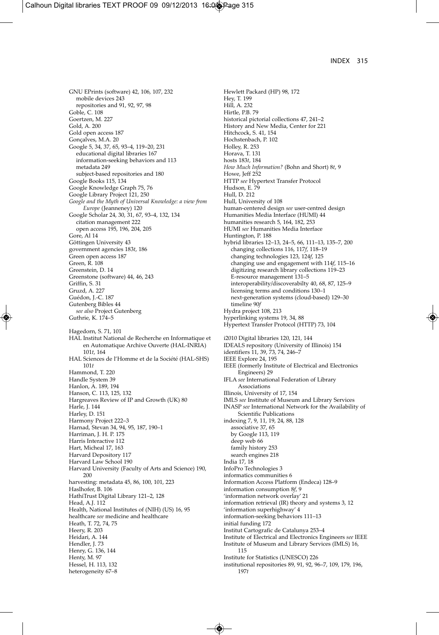GNU EPrints (software) 42, 106, 107, 232 mobile devices 243 repositories and 91, 92, 97, 98 Goble, C. 108 Goertzen, M. 227 Gold, A. 200 Gold open access 187 Gonçalves, M.A. 20 Google 5, 34, 37, 65, 93–4, 119–20, 231 educational digital libraries 167 information-seeking behaviors and 113 metadata 249 subject-based repositories and 180 Google Books 115, 134 Google Knowledge Graph 75, 76 Google Library Project 121, 250 *Google and the Myth of Universal Knowledge: a view from Europe* (Jeanneney) 120 Google Scholar 24, 30, 31, 67, 93–4, 132, 134 citation management 222 open access 195, 196, 204, 205 Gore, Al 14 Göttingen University 43 government agencies 183*t*, 186 Green open access 187 Green, R. 108 Greenstein, D. 14 Greenstone (software) 44, 46, 243 Griffin, S. 31 Gruzd, A. 227 Guédon, J.-C. 187 Gutenberg Bibles 44 *see also* Project Gutenberg Guthrie, K. 174–5 Hagedorn, S. 71, 101 HAL Institut National de Recherche en Informatique et en Automatique Archive Ouverte (HAL-INRIA) 101*t*, 164 HAL Sciences de l'Homme et de la Société (HAL-SHS) 101*t* Hammond, T. 220 Handle System 39 Hanlon, A. 189, 194 Hanson, C. 113, 125, 132 Hargreaves Review of IP and Growth (UK) 80 Harle, J. 144 Harley, D. 151 Harmony Project 222–3 Harnad, Stevan 34, 94, 95, 187, 190–1 Harriman, J. H. P. 175 Harris Interactive 112 Hart, Micheal 17, 163 Harvard Depository 117 Harvard Law School 190 Harvard University (Faculty of Arts and Science) 190, 200 harvesting: metadata 45, 86, 100, 101, 223 Haslhofer, B. 106 HathiTrust Digital Library 121–2, 128 Head, A.J. 112 Health, National Institutes of (NIH) (US) 16, 95 healthcare *see* medicine and healthcare Heath, T. 72, 74, 75 Heery, R. 203 Heidari, A. 144 Hendler, J. 73 Henry, G. 136, 144 Henty, M. 97 Hessel, H. 113, 132 heterogeneity 67–8

Hewlett Packard (HP) 98, 172 Hey, T. 199 Hill, A. 232 Hirtle, P.B. 79 historical pictorial collections 47, 241–2 History and New Media, Center for 221 Hitchcock, S. 41, 154 Hochstenbach, P. 102 Holley, R. 253 Horava, T. 131 hosts 183*t*, 184 *How Much Information?* (Bohn and Short) 8*t*, 9 Howe, Jeff 252 HTTP *see* Hypertext Transfer Protocol Hudson, E. 79 Hull, D. 212 Hull, University of 108 human-centered design *see* user-centred design Humanities Media Interface (HUMI) 44 humanities research 5, 164, 182, 253 HUMI *see* Humanities Media Interface Huntington, P. 188 hybrid libraries 12–13, 24–5, 66, 111–13, 135–7, 200 changing collections 116, 117*f*, 118–19 changing technologies 123, 124*f*, 125 changing use and engagement with 114*f*, 115–16 digitizing research library collections 119–23 E-resource management 131–5 interoperability/discoverabilty 40, 68, 87, 125–9 licensing terms and conditions 130–1 next-generation systems (cloud-based) 129–30 timeline 90*f* Hydra project 108, 213 hyperlinking systems 19, 34, 88 Hypertext Transfer Protocol (HTTP) 73, 104 i2010 Digital libraries 120, 121, 144 IDEALS repository (University of Illinois) 154 identifiers 11, 39, 73, 74, 246–7 IEEE Explore 24, 195 IEEE (formerly Institute of Electrical and Electronics Engineers) 29 IFLA *see* International Federation of Library Associations Illinois, University of 17, 154 IMLS *see* Institute of Museum and Library Services INASP *see* International Network for the Availability of Scientific Publications indexing 7, 9, 11, 19, 24, 88, 128 associative 37, 65 by Google 113, 119 deep web 66 family history 253 search engines 218 India 17, 18 InfoPro Technologies 3 informatics communities 6 Information Access Platform (Endeca) 128–9 information consumption 8*f*, 9 'information network overlay' 21 information retrieval (IR) theory and systems 3, 12 'information superhighway' 4 information-seeking behaviors 111–13 initial funding 172 Institut Cartografic de Catalunya 253–4 Institute of Electrical and Electronics Engineers *see* IEEE Institute of Museum and Library Services (IMLS) 16, 115 Institute for Statistics (UNESCO) 226 institutional repositories 89, 91, 92, 96–7, 109, 179, 196, 197*t*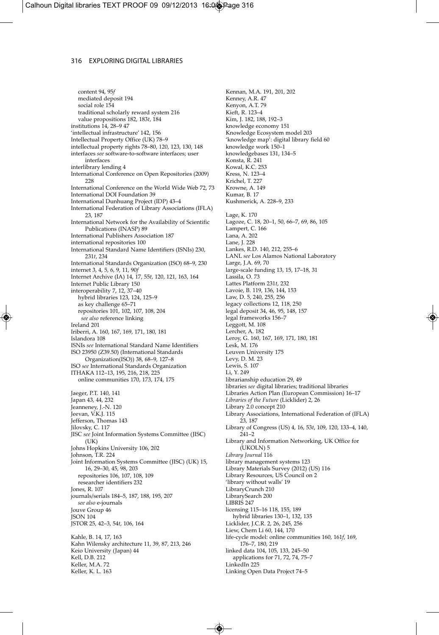content 94, 95*f* mediated deposit 194 social role 154 traditional scholarly reward system 216 value propositions 182, 183*t*, 184 institutions 14, 28–9 47 'intellectual infrastructure' 142, 156 Intellectual Property Office (UK) 78–9 intellectual property rights 78–80, 120, 123, 130, 148 interfaces *see* software-to-software interfaces; user interfaces interlibrary lending 4 International Conference on Open Repositories (2009) 228 International Conference on the World Wide Web 72, 73 International DOI Foundation 39 International Dunhuang Project (IDP) 43–4 International Federation of Library Associations (IFLA) 23, 187 International Network for the Availability of Scientific Publications (INASP) 89 International Publishers Association 187 international repositories 100 International Standard Name Identifiers (ISNIs) 230, 231*t*, 234 International Standards Organization (ISO) 68–9, 230 internet 3, 4, 5, 6, 9, 11, 90*f* Internet Archive (IA) 14, 17, 55*t*, 120, 121, 163, 164 Internet Public Library 150 interoperability 7, 12, 37–40 hybrid libraries 123, 124, 125–9 as key challenge 65–71 repositories 101, 102, 107, 108, 204 *see also* reference linking Ireland 201 Iriberri, A. 160, 167, 169, 171, 180, 181 Islandora 108 ISNIs *see* International Standard Name Identifiers ISO 23950 (Z39.50) (International Standards Organization(ISO)) 38, 68–9, 127–8 ISO *see* International Standards Organization ITHAKA 112–13, 195, 216, 218, 225 online communities 170, 173, 174, 175 Jaeger, P.T. 140, 141 Japan 43, 44, 232 Jeanneney, J.-N. 120 Jeevan, V.K.J. 115 Jefferson, Thomas 143 Jilovsky, C. 117 JISC *see* Joint Information Systems Committee (JISC) (UK) Johns Hopkins University 106, 202 Johnson, T.R. 224 Joint Information Systems Committee (JISC) (UK) 15, 16, 29–30, 45, 98, 203 repositories 106, 107, 108, 109 researcher identifiers 232 Jones, R. 107 journals/serials 184–5, 187, 188, 195, 207 *see also* e-journals Jouve Group 46 **ISON 104** JSTOR 25, 42–3, 54*t*, 106, 164 Kahle, B. 14, 17, 163 Kahn Wilensky architecture 11, 39, 87, 213, 246 Keio University (Japan) 44 Kell, D.B. 212 Keller, M.A. 72

Keller, K. L. 163

Kennan, M.A. 191, 201, 202 Kenney, A.R. 47 Kenyon, A.T. 79 Kieft, R. 123–4 Kim, J. 182, 188, 192–3 knowledge economy 151 Knowledge Ecosystem model 203 'knowledge map': digital library field 60 knowledge work 150–1 knowledgebases 131, 134–5 Konsta, R. 241 Kowal, K.C. 253 Kress, N. 123–4 Krichel, T. 227 Krowne, A. 149 Kumar, B. 17 Kushmerick, A. 228–9, 233 Lage, K. 170 Lagoze, C. 18, 20–1, 50, 66–7, 69, 86, 105 Lampert, C. 166 Lana, A. 202 Lane, J. 228 Lankes, R.D. 140, 212, 255–6 LANL *see* Los Alamos National Laboratory Large, J.A. 69, 70 large-scale funding 13, 15, 17–18, 31 Lassila, O. 73 Lattes Platform 231*t*, 232 Lavoie, B. 119, 136, 144, 153 Law, D. 5, 240, 255, 256 legacy collections 12, 118, 250 legal deposit 34, 46, 95, 148, 157 legal frameworks 156–7 Leggott, M. 108 Lercher, A. 182 Leroy, G. 160, 167, 169, 171, 180, 181 Lesk, M. 176 Leuven University 175 Levy, D. M. 23 Lewis, S. 107 Li, Y. 249 librarianship education 29, 49 libraries *see* digital libraries; traditional libraries Libraries Action Plan (European Commission) 16–17 *Libraries of the Future* (Licklider) 2, 26 Library 2.0 concept 210 Library Associations, International Federation of (IFLA) 23, 187 Library of Congress (US) 4, 16, 53*t*, 109, 120, 133–4, 140, 241–2 Library and Information Networking, UK Office for (UKOLN) 5 *Library Journal* 116 library management systems 123 Library Materials Survey (2012) (US) 116 Library Resources, US Council on 2 'library without walls' 19 LibraryCrunch 210 LibrarySearch 200 LIBRIS 247 licensing 115–16 118, 155, 189 hybrid libraries 130–1, 132, 135 Licklider, J.C.R. 2, 26, 245, 256 Liew, Chern Li 60, 144, 170 life-cycle model: online communities 160, 161*f*, 169, 176–7, 180, 219 linked data 104, 105, 133, 245–50 applications for 71, 72, 74, 75–7 LinkedIn 225 Linking Open Data Project 74–5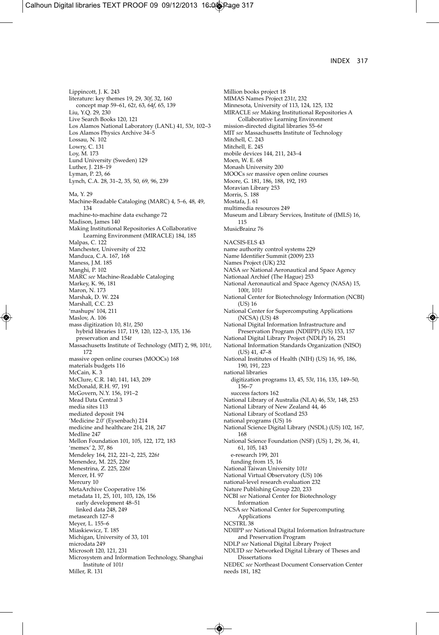Lippincott, J. K. 243 literature: key themes 19, 29, 30*f*, 32, 160 concept map 59–61, 62*t*, 63, 64*f*, 65, 139 Liu, Y.Q. 29, 230 Live Search Books 120, 121 Los Alamos National Laboratory (LANL) 41, 53*t*, 102–3 Los Alamos Physics Archive 34–5 Lossau, N. 102 Lowry, C. 131 Loy, M. 173 Lund University (Sweden) 129 Luther, J. 218–19 Lyman, P. 23, 66 Lynch, C.A. 28, 31–2, 35, 50, 69, 96, 239 Ma, Y. 29 Machine-Readable Cataloging (MARC) 4, 5–6, 48, 49, 134 machine-to-machine data exchange 72 Madison, James 140 Making Institutional Repositories A Collaborative Learning Environment (MIRACLE) 184, 185 Malpas, C. 122 Manchester, University of 232 Manduca, C.A. 167, 168 Maness, J.M. 185 Manghi, P. 102 MARC *see* Machine-Readable Cataloging Markey, K. 96, 181 Maron, N. 173 Marshak, D. W. 224 Marshall, C.C. 23 'mashups' 104, 211 Maslov, A. 106 mass digitization 10, 81*t*, 250 hybrid libraries 117, 119, 120, 122–3, 135, 136 preservation and 154*t* Massachusetts Institute of Technology (MIT) 2, 98, 101*t*, 172 massive open online courses (MOOCs) 168 materials budgets 116 McCain, K. 3 McClure, C.R. 140, 141, 143, 209 McDonald, R.H. 97, 191 McGovern, N.Y. 156, 191–2 Mead Data Central 3 media sites 113 mediated deposit 194 'Medicine 2.0' (Eysenbach) 214 medicine and healthcare 214, 218, 247 Medline 247 Mellon Foundation 101, 105, 122, 172, 183 'memex' 2, 37, 86 Mendeley 164, 212, 221–2, 225, 226*t* Menendez, M. 225, 226*t* Menestrina, Z. 225, 226*t* Mercer, H. 97 Mercury 10 MetaArchive Cooperative 156 metadata 11, 25, 101, 103, 126, 156 early development 48–51 linked data 248, 249 metasearch 127–8 Meyer, L. 155–6 Miaskiewicz, T. 185 Michigan, University of 33, 101 microdata 249 Microsoft 120, 121, 231 Microsystem and Information Technology, Shanghai Institute of 101*t* Miller, R. 131

Million books project 18 MIMAS Names Project 231*t*, 232 Minnesota, University of 113, 124, 125, 132 MIRACLE *see* Making Institutional Repositories A Collaborative Learning Environment mission-directed digital libraries 55–6*t* MIT *see* Massachusetts Institute of Technology Mitchell, C. 243 Mitchell, E. 245 mobile devices 144, 211, 243–4 Moen, W. E. 68 Monash University 200 MOOCs *see* massive open online courses Moore, G. 181, 186, 188, 192, 193 Moravian Library 253 Morris, S. 188 Mostafa, J. 61 multimedia resources 249 Museum and Library Services, Institute of (IMLS) 16, 115 MusicBrainz 76 NACSIS-ELS 43 name authority control systems 229 Name Identifier Summit (2009) 233 Names Project (UK) 232 NASA *see* National Aeronautical and Space Agency Nationaal Archief (The Hague) 253 National Aeronautical and Space Agency (NASA) 15, 100*t*, 101*t* National Center for Biotechnology Information (NCBI) (US) 16 National Center for Supercomputing Applications (NCSA) (US) 48 National Digital Information Infrastructure and Preservation Program (NDIIPP) (US) 153, 157 National Digital Library Project (NDLP) 16, 251 National Information Standards Organization (NISO) (US) 41, 47–8 National Institutes of Health (NIH) (US) 16, 95, 186, 190, 191, 223 national libraries digitization programs 13, 45, 53*t*, 116, 135, 149–50, 156–7 success factors 162 National Library of Australia (NLA) 46, 53*t*, 148, 253 National Library of New Zealand 44, 46 National Library of Scotland 253 national programs (US) 16 National Science Digital Library (NSDL) (US) 102, 167, 168 National Science Foundation (NSF) (US) 1, 29, 36, 41, 61, 105, 143 e-research 199, 201 funding from 15, 16 National Taiwan University 101*t* National Virtual Observatory (US) 106 national-level research evaluation 232 Nature Publishing Group 220, 233 NCBI *see* National Center for Biotechnology Information NCSA *see* National Center for Supercomputing Applications NCSTRL<sub>38</sub> NDIIPP *see* National Digital Information Infrastructure and Preservation Program NDLP *see* National Digital Library Project NDLTD *see* Networked Digital Library of Theses and Dissertations NEDEC *see* Northeast Document Conservation Center needs 181, 182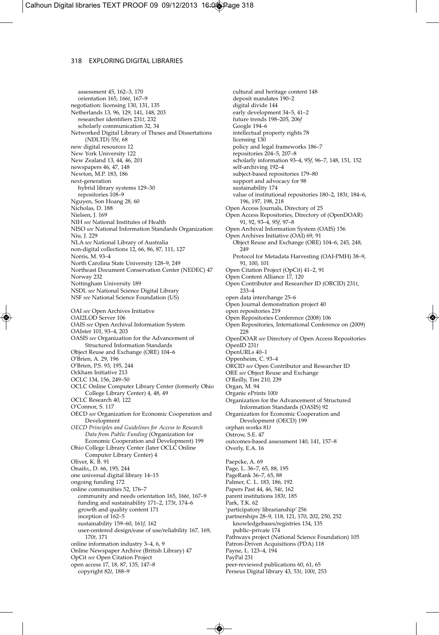assessment 45, 162–3, 170 orientation 165, 166*t*, 167–9 negotiation: licensing 130, 131, 135 Netherlands 13, 96, 129, 141, 148, 203 researcher identifiers 231*t*, 232 scholarly communication 32, 34 Networked Digital Library of Theses and Dissertations (NDLTD) 55*t*, 68 new digital resources 12 New York University 122 New Zealand 13, 44, 46, 201 newspapers 46, 47, 148 Newton, M.P. 183, 186 next-generation hybrid library systems 129–30 repositories 108–9 Nguyen, Son Hoang 28, 60 Nicholas, D. 188 Nielsen, J. 169 NIH *see* National Institutes of Health NISO *see* National Information Standards Organization Niu, J. 229 NLA *see* National Library of Australia non-digital collections 12, 66, 86, 87, 111, 127 Norris, M. 93–4 North Carolina State University 128–9, 249 Northeast Document Conservation Center (NEDEC) 47 Norway 232 Nottingham University 189 NSDL *see* National Science Digital Library NSF *see* National Science Foundation (US) OAI *see* Open Archives Initiative OAI2LOD Server 106 OAIS *see* Open Archival Information System OAIster 101, 93–4, 203 OASIS *see* Organization for the Advancement of Structured Information Standards Object Reuse and Exchange (ORE) 104–6 O'Brien, A. 29, 196 O'Brien, P.S. 93, 195, 244 Ockham Initiative 213 OCLC 134, 156, 249–50 OCLC Online Computer Library Center (formerly Ohio College Library Center) 4, 48, 49 OCLC Research 40, 122 O'Connor, S. 117 OECD *see* Organization for Economic Cooperation and Development *OECD Principles and Guidelines for Access to Research Data from Public Funding* (Organization for Economic Cooperation and Development) 199 Ohio College Library Center (later OCLC Online Computer Library Center) 4 Oliver, K. B. 91 Onaifo,, D. 66, 195, 244 one universal digital library 14–15 ongoing funding 172 online communities 52, 176–7 community and needs orientation 165, 166*t*, 167–9 funding and sustainability 171–2, 173*t*, 174–6 growth and quality content 171 inception of 162–5 sustainability 159–60, 161*f*, 162 user-centered design/ease of use/reliability 167, 169, 170*t*, 171 online information industry 3–4, 6, 9 Online Newspaper Archive (British Library) 47 OpCit *see* Open Citation Project open access 17, 18, 87, 135, 147–8 copyright 82*t*, 188–9

cultural and heritage content 148 deposit mandates 190–2 digital divide 144 early development 34–5, 41–2 future trends 198–205, 206*f* Google 194–6 intellectual property rights 78 licensing 130 policy and legal frameworks 186–7 repositories 204–5, 207–8 scholarly information 93–4, 95*f*, 96–7, 148, 151, 152 self-archiving 192–4 subject-based repositories 179–80 support and advocacy for 98 sustainability 174 value of institutional repositories 180–2, 183*t*, 184–6, 196, 197, 198, 218 Open Access Journals, Directory of 25 Open Access Repositories, Directory of (OpenDOAR) 91, 92, 93–4, 95*f*, 97–8 Open Archival Information System (OAIS) 156 Open Archives Initiative (OAI) 69, 91 Object Reuse and Exchange (ORE) 104–6, 245, 248, 249 Protocol for Metadata Harvesting (OAI-PMH) 38–9, 91, 100, 101 Open Citation Project (OpCit) 41–2, 91 Open Content Alliance 17, 120 Open Contributor and Researcher ID (ORCID) 231*t*, 233–4 open data interchange 25–6 Open Journal demonstration project 40 open repositories 219 Open Repositories Conference (2008) 106 Open Repositories, International Conference on (2009) 228 OpenDOAR *see* Directory of Open Access Repositories OpenID 231*t* OpenURLs 40–1 Oppenheim, C. 93–4 ORCID *see* Open Contributor and Researcher ID ORE *see* Object Reuse and Exchange O'Reilly, Tim 210, 239 Organ, M. 94 Organic ePrints 100*t* Organization for the Advancement of Structured Information Standards (OASIS) 92 Organization for Economic Cooperation and Development (OECD) 199 orphan works 81*t* Ostrow, S.E. 47 outcomes-based assessment 140, 141, 157–8 Overly, E.A. 16 Paepcke, A. 69 Page, L. 36–7, 65, 88, 195 PageRank 36–7, 65, 88 Palmer, C. L. 183, 186, 192 Papers Past 44, 46, 54*t*, 162 parent institutions 183*t*, 185 Park, T.K. 62 'participatory librarianship' 256 partnerships 28–9, 118, 121, 170, 202, 250, 252 knowledgebases/registries 134, 135 public–private 174 Pathways project (National Science Foundation) 105 Patron-Driven Acquisitions (PDA) 118 Payne, L. 123–4, 194 PayPal 231 peer-reviewed publications 60, 61, 65 Perseus Digital library 43, 53*t*, 100*t*, 253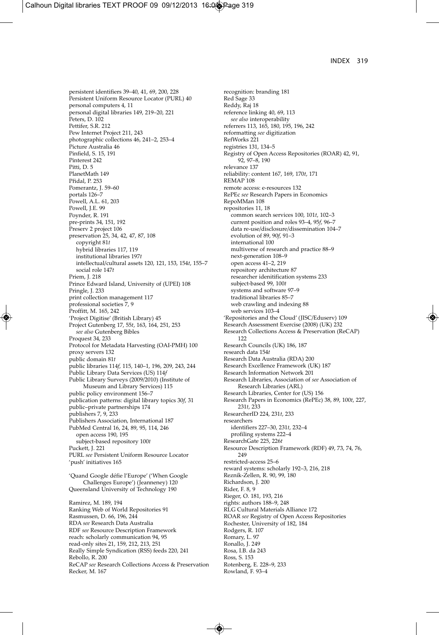persistent identifiers 39–40, 41, 69, 200, 228 Persistent Uniform Resource Locator (PURL) 40 personal computers 4, 11 personal digital libraries 149, 219–20, 221 Peters, D. 102 Pettifer, S.R. 212 Pew Internet Project 211, 243 photographic collections 46, 241–2, 253–4 Picture Australia 46 Pinfield, S. 15, 191 Pinterest 242 Pitti, D. 5 PlanetMath 149 Přidal, P. 253 Pomerantz, J. 59-60 portals 126–7 Powell, A.L. 61, 203 Powell, J.E. 99 Poynder, R. 191 pre-prints 34, 151, 192 Preserv 2 project 106 preservation 25, 34, 42, 47, 87, 108 copyright 81*t* hybrid libraries 117, 119 institutional libraries 197*t* intellectual/cultural assets 120, 121, 153, 154*t*, 155–7 social role 147*t* Priem, J. 218 Prince Edward Island, University of (UPEI) 108 Pringle, J. 233 print collection management 117 professional societies 7, 9 Proffitt, M. 165, 242 'Project Digitise' (British Library) 45 Project Gutenberg 17, 55*t*, 163, 164, 251, 253 *see also* Gutenberg Bibles Proquest 34, 233 Protocol for Metadata Harvesting (OAI-PMH) 100 proxy servers 132 public domain 81*t* public libraries 114*f*, 115, 140–1, 196, 209, 243, 244 Public Library Data Services (US) 114*f* Public Library Surveys (2009/2010) (Institute of Museum and Library Services) 115 public policy environment 156–7 publication patterns: digital library topics 30*f*, 31 public–private partnerships 174 publishers 7, 9, 233 Publishers Association, International 187 PubMed Central 16, 24, 89, 95, 114, 246 open access 190, 195 subject-based repository 100*t* Puckett, J. 221 PURL *see* Persistent Uniform Resource Locator 'push' initiatives 165 'Quand Google défie l'Europe' ('When Google Challenges Europe') (Jeanneney) 120 Queensland University of Technology 190 Ramirez, M. 189, 194 Ranking Web of World Repositories 91 Rasmussen, D. 66, 196, 244 RDA *see* Research Data Australia RDF *see* Resource Description Framework reach: scholarly communication 94, 95 read-only sites 21, 159, 212, 213, 251 Really Simple Syndication (RSS) feeds 220, 241 Rebollo, R. 200

ReCAP *see* Research Collections Access & Preservation

Recker, M. 167

recognition: branding 181 Red Sage 33 Reddy, Raj 18 reference linking 40, 69, 113 *see also* interoperability referrers 113, 165, 180, 195, 196, 242 reformatting *see* digitization RefWorks 221 registries 131, 134–5 Registry of Open Access Repositories (ROAR) 42, 91, 92, 97–8, 190 relevance 137 reliability: content 167, 169, 170*t*, 171 REMAP 108 remote access: e-resources 132 RePEc *see* Research Papers in Economics RepoMMan 108 repositories 11, 18 common search services 100, 101*t*, 102–3 current position and roles 93–4, 95*f*, 96–7 data re-use/disclosure/dissemination 104–7 evolution of 89, 90*f*, 91–3 international 100 multiverse of research and practice 88–9 next-generation 108–9 open access 41–2, 219 repository architecture 87 researcher idenitification systems 233 subject-based 99, 100*t* systems and software 97–9 traditional libraries 85–7 web crawling and indexing 88 web services 103–4 'Repositories and the Cloud' (JISC/Eduserv) 109 Research Assessment Exercise (2008) (UK) 232 Research Collections Access & Preservation (ReCAP) 122 Research Councils (UK) 186, 187 research data 154*t* Research Data Australia (RDA) 200 Research Excellence Framework (UK) 187 Research Information Network 201 Research Libraries, Association of *see* Association of Research Libraries (ARL) Research Libraries, Center for (US) 156 Research Papers in Economics (RePEc) 38, 89, 100*t*, 227, 231*t*, 233 ResearcherID 224, 231*t*, 233 researchers identifiers 227–30, 231*t*, 232–4 profiling systems 222–4 ResearchGate 225, 226*t* Resource Description Framework (RDF) 49, 73, 74, 76, 249 restricted-access 25–6 reward systems: scholarly 192–3, 216, 218 Reznik-Zellen, R. 90, 99, 180 Richardson, J. 200 Rider, F. 8, 9 Rieger, O. 181, 193, 216 rights: authors 188–9, 248 RLG Cultural Materials Alliance 172 ROAR *see* Registry of Open Access Repositories Rochester, University of 182, 184 Rodgers, R. 107 Romary, L. 97 Ronallo, J. 249 Rosa, I.B. da 243 Ross, S. 153 Rotenberg, E. 228–9, 233 Rowland, F. 93–4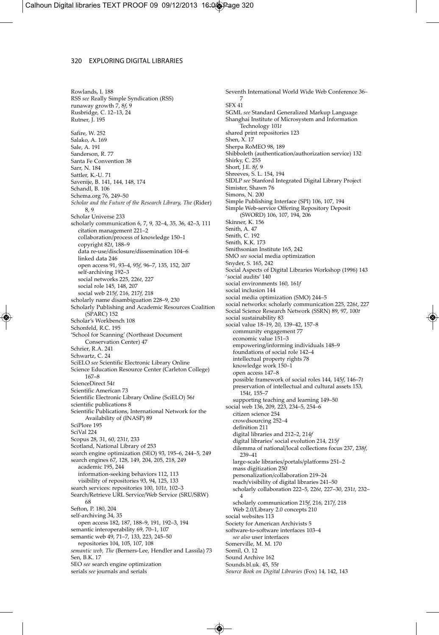Rowlands, I. 188 RSS *see* Really Simple Syndication (RSS) runaway growth 7, 8*f*, 9 Rusbridge, C. 12–13, 24 Rutner, J. 195 Safire, W. 252 Salako, A. 169 Sale, A. 191 Sanderson, R. 77 Santa Fe Convention 38 Sarr, N. 184 Sattler, K.-U. 71 Savenije, B. 141, 144, 148, 174 Schandl, B. 106 Schema.org 76, 249–50 *Scholar and the Future of the Research Library, The* (Rider) 8, 9 Scholar Universe 233 scholarly communication 6, 7, 9, 32–4, 35, 36, 42–3, 111 citation management 221–2 collaboration/process of knowledge 150–1 copyright 82*t*, 188–9 data re-use/disclosure/dissemination 104–6 linked data 246 open access 91, 93–4, 95*f*, 96–7, 135, 152, 207 self-archiving 192–3 social networks 225, 226*t*, 227 social role 145, 148, 207 social web 215*f*, 216, 217*f*, 218 scholarly name disambiguation 228–9, 230 Scholarly Publishing and Academic Resources Coalition (SPARC) 152 Scholar's Workbench 108 Schonfeld, R.C. 195 'School for Scanning' (Northeast Document Conservation Center) 47 Schrier, R.A. 241 Schwartz, C. 24 SciELO *see* Scientific Electronic Library Online Science Education Resource Center (Carleton College) 167–8 ScienceDirect 54*t* Scientific American 73 Scientific Electronic Library Online (SciELO) 56*t* scientific publications 8 Scientific Publications, International Network for the Availability of (INASP) 89 SciPlore 195 SciVal 224 Scopus 28, 31, 60, 231*t*, 233 Scotland, National Library of 253 search engine optimization (SEO) 93, 195–6, 244–5, 249 search engines 67, 128, 149, 204, 205, 218, 249 academic 195, 244 information-seeking behaviors 112, 113 visibility of repositories 93, 94, 125, 133 search services: repositories 100, 101*t*, 102–3 Search/Retrieve URL Service/Web Service (SRU/SRW) 68 Sefton, P. 180, 204 self-archiving 34, 35 open access 182, 187, 188–9, 191, 192–3, 194 semantic interoperability 69, 70–1, 107 semantic web 49, 71–7, 133, 223, 245–50 repositories 104, 105, 107, 108 *semantic web, The* (Berners-Lee, Hendler and Lassila) 73 Sen, B.K. 17 SEO *see* search engine optimization serials *see* journals and serials

Seventh International World Wide Web Conference 36– 7 SFX 41 SGML *see* Standard Generalized Markup Language Shanghai Institute of Microsystem and Information Technology 101*t* shared print repositories 123 Shen, X. 17 Sherpa RoMEO 98, 189 Shibboleth (authentication/authorization service) 132 Shirky, C. 255 Short, J.E. 8*f*, 9 Shreeves, S. L. 154, 194 SIDLP *see* Stanford Integrated Digital Library Project Simister, Shawn 76 Simons, N. 200 Simple Publishing Interface (SPI) 106, 107, 194 Simple Web-service Offering Repository Deposit (SWORD) 106, 107, 194, 206 Skinner, K. 156 Smith, A. 47 Smith, C. 192 Smith, K.K. 173 Smithsonian Institute 165, 242 SMO *see* social media optimization Snyder, S. 165, 242 Social Aspects of Digital Libraries Workshop (1996) 143 'social audits' 140 social environments 160, 161*f* social inclusion 144 social media optimization (SMO) 244–5 social networks: scholarly communication 225, 226*t*, 227 Social Science Research Network (SSRN) 89, 97, 100*t* social sustainability 83 social value 18–19, 20, 139–42, 157–8 community engagement 77 economic value 151–3 empowering/informing individuals 148–9 foundations of social role 142–4 intellectual property rights 78 knowledge work 150–1 open access 147–8 possible framework of social roles 144, 145*f*, 146–7*t* preservation of intellectual and cultural assets 153, 154*t*, 155–7 supporting teaching and learning 149–50 social web 136, 209, 223, 234–5, 254–6 citizen science 254 crowdsourcing 252–4 definition 211 digital libraries and 212–2, 214*f* digital libraries' social evolution 214, 215*f* dilemma of national/local collections focus 237, 238*f*, 239–41 large-scale libraries/portals/platforms 251–2 mass digitization 250 personalization/collaboration 219–24 reach/visibility of digital libraries 241–50 scholarly collaboration 222–5, 226*t*, 227–30, 231*t*, 232– 4 scholarly communication 215*f*, 216, 217*f*, 218 Web 2.0/Library 2.0 concepts 210 social websites 113 Society for American Archivists 5 software-to-software interfaces 103–4 *see also* user interfaces Somerville, M. M. 170 Sornil, O. 12 Sound Archive 162 Sounds.bl.uk. 45, 55*t Source Book on Digital Libraries* (Fox) 14, 142, 143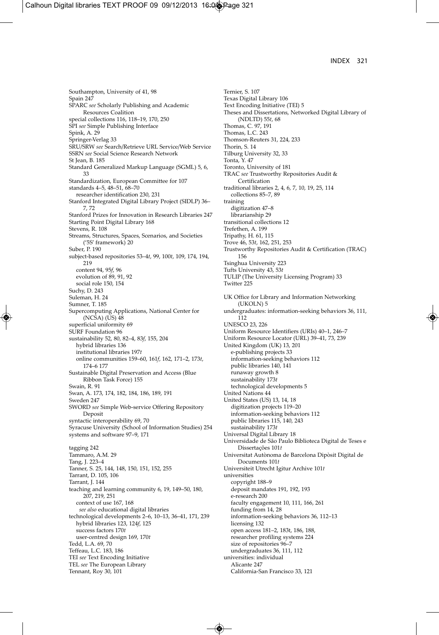Southampton, University of 41, 98 Spain 247 SPARC *see* Scholarly Publishing and Academic Resources Coalition special collections 116, 118–19, 170, 250 SPI *see* Simple Publishing Interface Spink, A. 29 Springer-Verlag 33 SRU/SRW *see* Search/Retrieve URL Service/Web Service SSRN *see* Social Science Research Network St Jean, B. 185 Standard Generalized Markup Language (SGML) 5, 6, 33 Standardization, European Committee for 107 standards 4–5, 48–51, 68–70 researcher identification 230, 231 Stanford Integrated Digital Library Project (SIDLP) 36– 7, 72 Stanford Prizes for Innovation in Research Libraries 247 Starting Point Digital Library 168 Stevens, R. 108 Streams, Structures, Spaces, Scenarios, and Societies ('5S' framework) 20 Suber, P. 190 subject-based repositories 53–4*t*, 99, 100*t*, 109, 174, 194, 219 content 94, 95*f*, 96 evolution of 89, 91, 92 social role 150, 154 Suchy, D. 243 Suleman, H. 24 Sumner, T. 185 Supercomputing Applications, National Center for (NCSA) (US) 48 superficial uniformity 69 SURF Foundation 96 sustainability 52, 80, 82–4, 83*f*, 155, 204 hybrid libraries 136 institutional libraries 197*t* online communities 159–60, 161*f*, 162, 171–2, 173*t*, 174–6 177 Sustainable Digital Preservation and Access (Blue Ribbon Task Force) 155 Swain, R. 91 Swan, A. 173, 174, 182, 184, 186, 189, 191 Sweden 247 SWORD *see* Simple Web-service Offering Repository Deposit syntactic interoperability 69, 70 Syracuse University (School of Information Studies) 254 systems and software 97–9, 171 tagging 242 Tammaro, A.M. 29 Tang, J. 223–4 Tanner, S. 25, 144, 148, 150, 151, 152, 255 Tarrant, D. 105, 106 Tarrant, J. 144 teaching and learning community 6, 19, 149–50, 180, 207, 219, 251 context of use 167, 168 *see also* educational digital libraries technological developments 2–6, 10–13, 36–41, 171, 239 hybrid libraries 123, 124*f*, 125 success factors 170*t* user-centred design 169, 170*t* Tedd, L.A. 69, 70 Teffeau, L.C. 183, 186 TEI *see* Text Encoding Initiative TEL *see* The European Library Tennant, Roy 30, 101

Ternier, S. 107 Texas Digital Library 106 Text Encoding Initiative (TEI) 5 Theses and Dissertations, Networked Digital Library of (NDLTD) 55*t*, 68 Thomas, C. 97, 191 Thomas, L.C. 243 Thomson-Reuters 31, 224, 233 Thorin, S. 14 Tilburg University 32, 33 Tonta, Y. 47 Toronto, University of 181 TRAC *see* Trustworthy Repositories Audit & Certification traditional libraries 2, 4, 6, 7, 10, 19, 25, 114 collections 85–7, 89 training digitization 47–8 librarianship 29 transitional collections 12 Trefethen, A. 199 Tripathy, H. 61, 115 Trove 46, 53*t*, 162, 251, 253 Trustworthy Repositories Audit & Certification (TRAC) 156 Tsinghua University 223 Tufts University 43, 53*t* TULIP (The University Licensing Program) 33 Twitter 225 UK Office for Library and Information Networking (UKOLN) 5 undergraduates: information-seeking behaviors 36, 111, 112 UNESCO 23, 226 Uniform Resource Identifiers (URIs) 40–1, 246–7 Uniform Resource Locator (URL) 39–41, 73, 239 United Kingdom (UK) 13, 201 e-publishing projects 33 information-seeking behaviors 112 public libraries 140, 141 runaway growth 8 sustainability 173*t* technological developments 5 United Nations 44 United States (US) 13, 14, 18 digitization projects 119–20 information-seeking behaviors 112 public libraries 115, 140, 243 sustainability 173*t* Universal Digital Library 18 Universidade de São Paulo Biblioteca Digital de Teses e Dissertações 101*t* Universitat Autònoma de Barcelona Dipòsit Digital de Documents 101*t* Universiteit Utrecht Igitur Archive 101*t* universities copyright 188–9 deposit mandates 191, 192, 193 e-research 200 faculty engagement 10, 111, 166, 261 funding from 14, 28 information-seeking behaviors 36, 112–13 licensing 132 open access 181–2, 183t, 186, 188, researcher profiling systems 224 size of repositories 96–7 undergraduates 36, 111, 112 universities: individual Alicante 247 California-San Francisco 33, 121